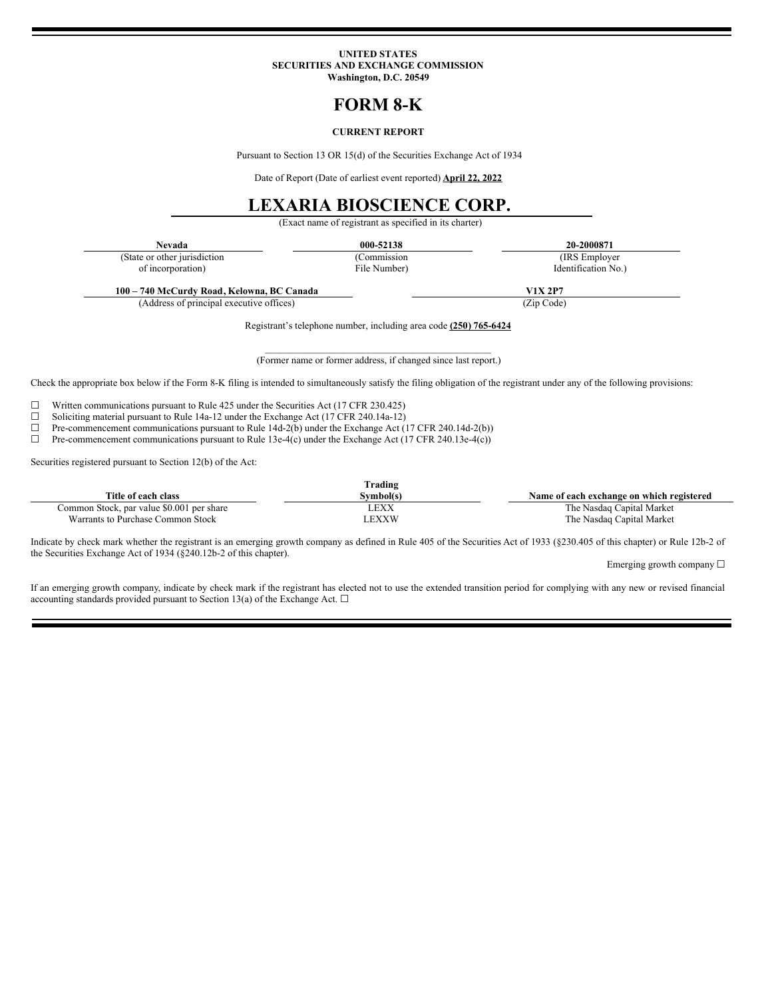#### **UNITED STATES SECURITIES AND EXCHANGE COMMISSION Washington, D.C. 20549**

# **FORM 8-K**

### **CURRENT REPORT**

Pursuant to Section 13 OR 15(d) of the Securities Exchange Act of 1934

Date of Report (Date of earliest event reported) **April 22, 2022**

# **LEXARIA BIOSCIENCE CORP.**

(Exact name of registrant as specified in its charter)

| Nevada                       | 000-52138    | 20-2000871          |
|------------------------------|--------------|---------------------|
| (State or other jurisdiction | (Commission) | (IRS Employer)      |
| of incorporation)            | File Number) | Identification No.) |

(Address of principal executive offices) (Zip Code)

Registrant's telephone number, including area code **(250) 765-6424**

 $\mathcal{L}_\text{max}$  and the contract of the contract of the contract of the contract of the contract of the contract of the contract of the contract of the contract of the contract of the contract of the contract of the contrac (Former name or former address, if changed since last report.)

Check the appropriate box below if the Form 8-K filing is intended to simultaneously satisfy the filing obligation of the registrant under any of the following provisions:

 $\Box$  Written communications pursuant to Rule 425 under the Securities Act (17 CFR 230.425)  $\Box$  Soliciting material pursuant to Rule 14a-12 under the Exchange Act (17 CFR 240.14a-12)

□ Soliciting material pursuit to Rule 14a-12 under the Exchange Act (17 CFR 240.14a-12) <math display="inline">\Box</math> Pre-component communications pursuit to Rule 14d-2(b) under the Exchange Act (

 $\Box$  Pre-commencement communications pursuant to Rule 14d-2(b) under the Exchange Act (17 CFR 240.14d-2(b))<br>Pre-commencement communications pursuant to Rule 13e-4(c) under the Exchange Act (17 CFR 240.13e-4(c))

Pre-commencement communications pursuant to Rule 13e-4(c) under the Exchange Act (17 CFR 240.13e-4(c))

Securities registered pursuant to Section 12(b) of the Act:

| Trading                                   |             |                                           |  |
|-------------------------------------------|-------------|-------------------------------------------|--|
| Title of each class                       | Symbol(s)   | Name of each exchange on which registered |  |
| Common Stock, par value \$0.001 per share | LEXX        | The Nasdaq Capital Market                 |  |
| Warrants to Purchase Common Stock         | <b>EXXW</b> | The Nasdaq Capital Market                 |  |

Indicate by check mark whether the registrant is an emerging growth company as defined in Rule 405 of the Securities Act of 1933 (§230.405 of this chapter) or Rule 12b-2 of the Securities Exchange Act of 1934 (§240.12b-2 of this chapter).

Emerging growth company ☐

If an emerging growth company, indicate by check mark if the registrant has elected not to use the extended transition period for complying with any new or revised financial accounting standards provided pursuant to Section 13(a) of the Exchange Act.  $\square$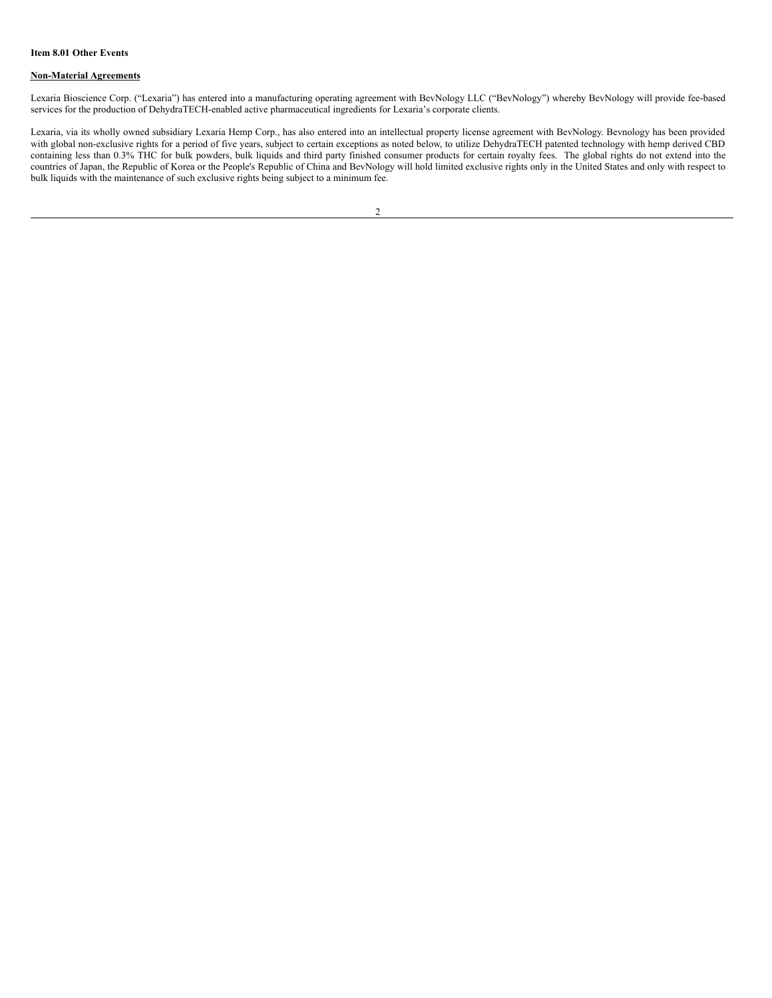### **Non-Material Agreements**

Lexaria Bioscience Corp. ("Lexaria") has entered into a manufacturing operating agreement with BevNology LLC ("BevNology") whereby BevNology will provide fee-based services for the production of DehydraTECH-enabled active pharmaceutical ingredients for Lexaria's corporate clients.

Lexaria, via its wholly owned subsidiary Lexaria Hemp Corp., has also entered into an intellectual property license agreement with BevNology. Bevnology has been provided with global non-exclusive rights for a period of five years, subject to certain exceptions as noted below, to utilize DehydraTECH patented technology with hemp derived CBD containing less than 0.3% THC for bulk powders, bulk liquids and third party finished consumer products for certain royalty fees. The global rights do not extend into the countries of Japan, the Republic of Korea or the People's Republic of China and BevNology will hold limited exclusive rights only in the United States and only with respect to bulk liquids with the maintenance of such exclusive rights being subject to a minimum fee.